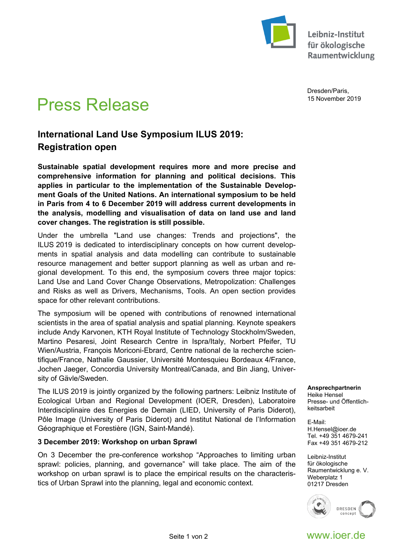

Leibniz-Institut für ökologische Raumentwicklung

Dresden/Paris, 15 November 2019

# Press Release

# **International Land Use Symposium ILUS 2019: Registration open**

**Sustainable spatial development requires more and more precise and comprehensive information for planning and political decisions. This applies in particular to the implementation of the Sustainable Development Goals of the United Nations. An international symposium to be held in Paris from 4 to 6 December 2019 will address current developments in the analysis, modelling and visualisation of data on land use and land cover changes. The registration is still possible.** 

Under the umbrella "Land use changes: Trends and projections", the ILUS 2019 is dedicated to interdisciplinary concepts on how current developments in spatial analysis and data modelling can contribute to sustainable resource management and better support planning as well as urban and regional development. To this end, the symposium covers three major topics: Land Use and Land Cover Change Observations, Metropolization: Challenges and Risks as well as Drivers, Mechanisms, Tools. An open section provides space for other relevant contributions.

The symposium will be opened with contributions of renowned international scientists in the area of spatial analysis and spatial planning. Keynote speakers include Andy Karvonen, KTH Royal Institute of Technology Stockholm/Sweden, Martino Pesaresi, Joint Research Centre in Ispra/Italy, Norbert Pfeifer, TU Wien/Austria, François Moriconi-Ebrard, Centre national de la recherche scientifique/France, Nathalie Gaussier, Université Montesquieu Bordeaux 4/France, Jochen Jaeger, Concordia University Montreal/Canada, and Bin Jiang, University of Gävle/Sweden.

The ILUS 2019 is jointly organized by the following partners: Leibniz Institute of Ecological Urban and Regional Development (IOER, Dresden), Laboratoire Interdisciplinaire des Energies de Demain (LIED, University of Paris Diderot), Pôle Image (University of Paris Diderot) and Institut National de l'Information Géographique et Forestière (IGN, Saint-Mandé).

# **3 December 2019: Workshop on urban Sprawl**

On 3 December the pre-conference workshop "Approaches to limiting urban sprawl: policies, planning, and governance" will take place. The aim of the workshop on urban sprawl is to place the empirical results on the characteristics of Urban Sprawl into the planning, legal and economic context.

**Ansprechpartnerin**  Heike Hensel

Presse- und Öffentlichkeitsarbeit

E-Mail: H.Hensel@ioer.de Tel. +49 351 4679-241 Fax +49 351 4679-212

Leibniz-Institut für ökologische Raumentwicklung e. V. Weberplatz 1 01217 Dresden



Seite 1 von 2 www.ioer.de